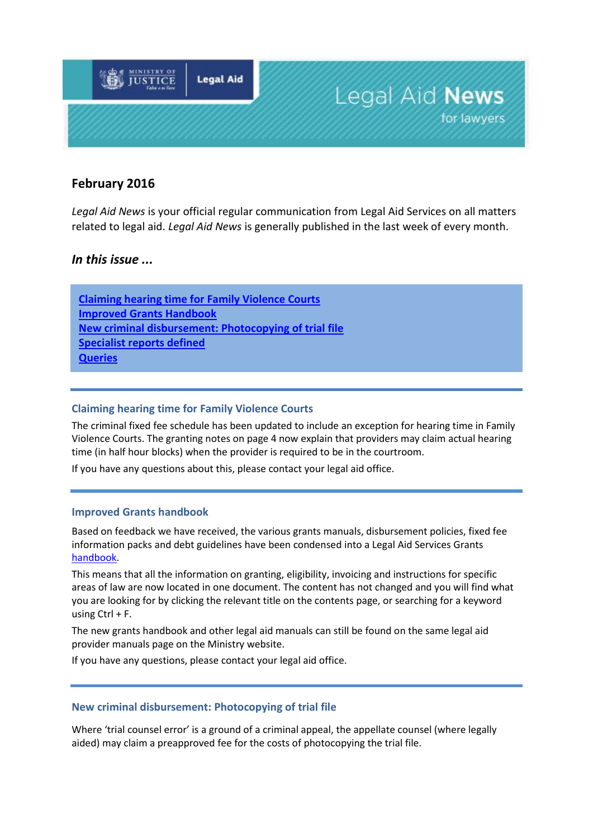

# **February 2016**

*Legal Aid News* is your official regular communication from Legal Aid Services on all matters related to legal aid. *Legal Aid News* is generally published in the last week of every month.

## *In this issue ...*

**[Claiming hearing time for Family Violence Courts](#page-0-0) [Improved Grants Handbook](#page-0-1) [New criminal disbursement: Photocopying of trial file](#page-0-2) [Specialist reports defined](#page-1-0) Queries**

## <span id="page-0-0"></span>**Claiming hearing time for Family Violence Courts**

The criminal fixed fee schedule has been updated to include an exception for hearing time in Family Violence Courts. The granting notes on page 4 now explain that providers may claim actual hearing time (in half hour blocks) when the provider is required to be in the courtroom.

<span id="page-0-1"></span>If you have any questions about this, please contact your legal aid office.

#### **Improved Grants handbook**

Based on feedback we have received, the various grants manuals, disbursement policies, fixed fee information packs and debt guidelines have been condensed into a Legal Aid Services Grants [handbook.](http://www.justice.govt.nz/services/service-providers/information-for-legal-professionals/information-for-legal-aid-providers/documents/manuals-and-policies/grants-manual/grants-handbook-2016)

This means that all the information on granting, eligibility, invoicing and instructions for specific areas of law are now located in one document. The content has not changed and you will find what you are looking for by clicking the relevant title on the contents page, or searching for a keyword using Ctrl + F.

The new grants handbook and other legal aid manuals can still be found on the same legal aid provider manuals page on the Ministry [website.](http://www.justice.govt.nz/services/service-providers/information-for-legal-professionals/information-for-legal-aid-providers/legal-aid-provider-manuals/)

If you have any questions, please contact your legal aid office.

### <span id="page-0-2"></span>**New criminal disbursement: Photocopying of trial file**

Where 'trial counsel error' is a ground of a criminal appeal, the appellate counsel (where legally aided) may claim a preapproved fee for the costs of photocopying the trial file.